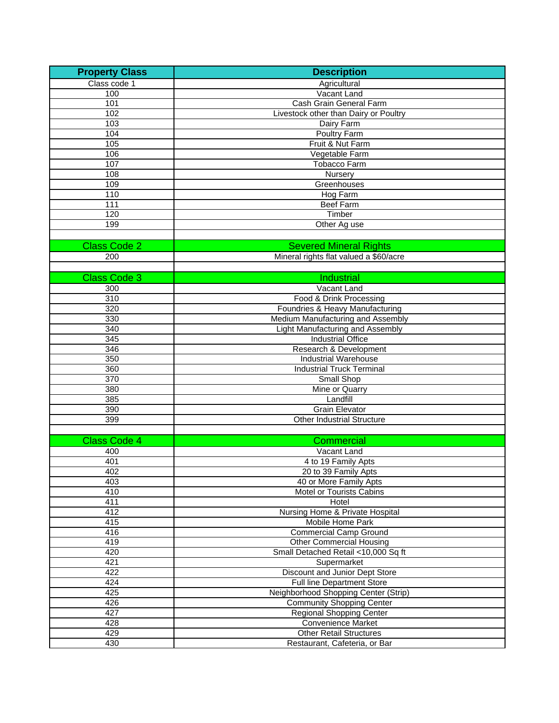| <b>Property Class</b> | <b>Description</b>                     |
|-----------------------|----------------------------------------|
| Class code 1          | Agricultural                           |
| 100                   | Vacant Land                            |
| 101                   | Cash Grain General Farm                |
| 102                   | Livestock other than Dairy or Poultry  |
| 103                   | Dairy Farm                             |
| 104                   | Poultry Farm                           |
| 105                   | Fruit & Nut Farm                       |
| 106                   | Vegetable Farm                         |
| 107                   | <b>Tobacco Farm</b>                    |
| 108                   | Nursery                                |
| 109                   | Greenhouses                            |
| 110                   | Hog Farm                               |
| 111                   | <b>Beef Farm</b>                       |
| 120                   | Timber                                 |
| 199                   | Other Ag use                           |
|                       |                                        |
| <b>Class Code 2</b>   | <b>Severed Mineral Rights</b>          |
|                       |                                        |
| 200                   | Mineral rights flat valued a \$60/acre |
|                       |                                        |
| <b>Class Code 3</b>   | <b>Industrial</b>                      |
| 300                   | Vacant Land                            |
| $\overline{310}$      | Food & Drink Processing                |
| 320                   | Foundries & Heavy Manufacturing        |
| 330                   | Medium Manufacturing and Assembly      |
| 340                   | Light Manufacturing and Assembly       |
| $\overline{345}$      | <b>Industrial Office</b>               |
| 346                   | Research & Development                 |
| 350                   | <b>Industrial Warehouse</b>            |
| 360                   | <b>Industrial Truck Terminal</b>       |
| $\overline{370}$      | Small Shop                             |
| 380                   | Mine or Quarry                         |
| 385                   | Landfill                               |
| 390                   | <b>Grain Elevator</b>                  |
| 399                   | <b>Other Industrial Structure</b>      |
|                       |                                        |
| <b>Class Code 4</b>   | Commercial                             |
| 400                   | Vacant Land                            |
| 401                   | 4 to 19 Family Apts                    |
| 402                   | 20 to 39 Family Apts                   |
| 403                   | 40 or More Family Apts                 |
| 410                   | Motel or Tourists Cabins               |
| 411                   | Hotel                                  |
| 412                   | Nursing Home & Private Hospital        |
| 415                   | <b>Mobile Home Park</b>                |
| 416                   | <b>Commercial Camp Ground</b>          |
| 419                   | <b>Other Commercial Housing</b>        |
| 420                   | Small Detached Retail <10,000 Sq ft    |
| $\overline{421}$      | Supermarket                            |
| 422                   | Discount and Junior Dept Store         |
| 424                   | <b>Full line Department Store</b>      |
| 425                   | Neighborhood Shopping Center (Strip)   |
| 426                   | <b>Community Shopping Center</b>       |
| 427                   | <b>Regional Shopping Center</b>        |
| 428                   | Convenience Market                     |
| 429                   | <b>Other Retail Structures</b>         |
| 430                   | Restaurant, Cafeteria, or Bar          |
|                       |                                        |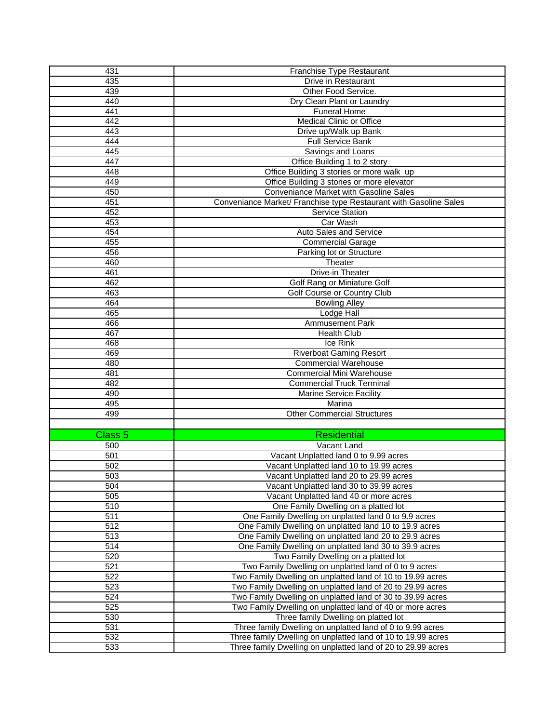| 431              | Franchise Type Restaurant                                         |
|------------------|-------------------------------------------------------------------|
| 435              | Drive in Restaurant                                               |
| 439              | Other Food Service.                                               |
| 440              | Dry Clean Plant or Laundry                                        |
| 441              | <b>Funeral Home</b>                                               |
| 442              | <b>Medical Clinic or Office</b>                                   |
| 443              | Drive up/Walk up Bank                                             |
| 444              | <b>Full Service Bank</b>                                          |
| 445              | Savings and Loans                                                 |
| 447              | Office Building 1 to 2 story                                      |
| 448              | Office Building 3 stories or more walk up                         |
| 449              | Office Building 3 stories or more elevator                        |
| 450              | Conveniance Market with Gasoline Sales                            |
| 451              | Conveniance Market/ Franchise type Restaurant with Gasoline Sales |
| 452              | Service Station                                                   |
|                  |                                                                   |
| 453              | Car Wash                                                          |
| 454              | Auto Sales and Service                                            |
| 455              | <b>Commercial Garage</b>                                          |
| 456              | Parking lot or Structure                                          |
| 460              | Theater                                                           |
| 461              | Drive-in Theater                                                  |
| 462              | Golf Rang or Miniature Golf                                       |
| 463              | Golf Course or Country Club                                       |
| 464              | <b>Bowling Alley</b>                                              |
| 465              | Lodge Hall                                                        |
| 466              | <b>Ammusement Park</b>                                            |
| 467              | Health Club                                                       |
| 468              | Ice Rink                                                          |
| 469              | <b>Riverboat Gaming Resort</b>                                    |
| 480              | <b>Commercial Warehouse</b>                                       |
| 481              | <b>Commercial Mini Warehouse</b>                                  |
| 482              | <b>Commercial Truck Terminal</b>                                  |
| 490              | Marine Service Facility                                           |
| 495              | Marina                                                            |
| 499              | <b>Other Commercial Structures</b>                                |
|                  |                                                                   |
| Class 5          | <b>Residential</b>                                                |
| 500              | Vacant Land                                                       |
| 501              | Vacant Unplatted land 0 to 9.99 acres                             |
| 502              | Vacant Unplatted land 10 to 19.99 acres                           |
| 503              | Vacant Unplatted land 20 to 29.99 acres                           |
| 504              | Vacant Unplatted land 30 to 39.99 acres                           |
| 505              | Vacant Unplatted land 40 or more acres                            |
| 510              | One Family Dwelling on a platted lot                              |
| 511              | One Family Dwelling on unplatted land 0 to 9.9 acres              |
| 512              | One Family Dwelling on unplatted land 10 to 19.9 acres            |
| $\overline{513}$ | One Family Dwelling on unplatted land 20 to 29.9 acres            |
| 514              | One Family Dwelling on unplatted land 30 to 39.9 acres            |
| 520              | Two Family Dwelling on a platted lot                              |
| 521              | Two Family Dwelling on unplatted land of 0 to 9 acres             |
| 522              | Two Family Dwelling on unplatted land of 10 to 19.99 acres        |
| 523              | Two Family Dwelling on unplatted land of 20 to 29.99 acres        |
| $\overline{524}$ | Two Family Dwelling on unplatted land of 30 to 39.99 acres        |
| 525              | Two Family Dwelling on unplatted land of 40 or more acres         |
| 530              | Three family Dwelling on platted lot                              |
| 531              | Three family Dwelling on unplatted land of 0 to 9.99 acres        |
| 532              | Three family Dwelling on unplatted land of 10 to 19.99 acres      |
| 533              | Three family Dwelling on unplatted land of 20 to 29.99 acres      |